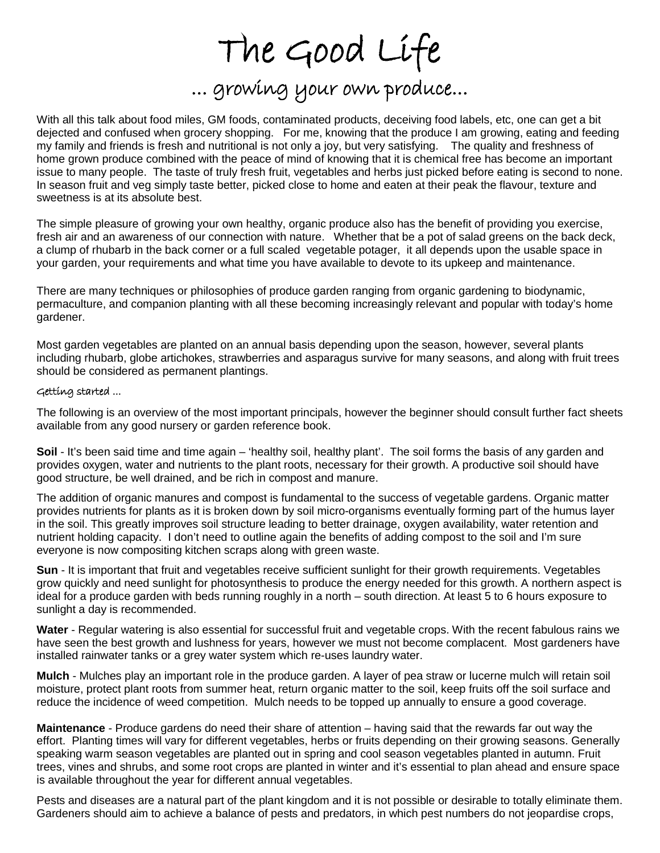## The Good Life<br>... growing your own produce...

With all this talk about food miles, GM foods, contaminated products, deceiving food labels, etc, one can get a bit dejected and confused when grocery shopping. For me, knowing that the produce I am growing, eating and feeding my family and friends is fresh and nutritional is not only a joy, but very satisfying. The quality and freshness of home grown produce combined with the peace of mind of knowing that it is chemical free has become an important issue to many people. The taste of truly fresh fruit, vegetables and herbs just picked before eating is second to none. In season fruit and veg simply taste better, picked close to home and eaten at their peak the flavour, texture and sweetness is at its absolute best.

The simple pleasure of growing your own healthy, organic produce also has the benefit of providing you exercise, fresh air and an awareness of our connection with nature. Whether that be a pot of salad greens on the back deck, a clump of rhubarb in the back corner or a full scaled vegetable potager, it all depends upon the usable space in your garden, your requirements and what time you have available to devote to its upkeep and maintenance.

There are many techniques or philosophies of produce garden ranging from organic gardening to biodynamic, permaculture, and companion planting with all these becoming increasingly relevant and popular with today's home gardener.

Most garden vegetables are planted on an annual basis depending upon the season, however, several plants including rhubarb, globe artichokes, strawberries and asparagus survive for many seasons, and along with fruit trees should be considered as permanent plantings.

## Getting started ...

The following is an overview of the most important principals, however the beginner should consult further fact sheets available from any good nursery or garden reference book.

**Soil** - It's been said time and time again – 'healthy soil, healthy plant'. The soil forms the basis of any garden and provides oxygen, water and nutrients to the plant roots, necessary for their growth. A productive soil should have good structure, be well drained, and be rich in compost and manure.

The addition of organic manures and compost is fundamental to the success of vegetable gardens. Organic matter provides nutrients for plants as it is broken down by soil micro-organisms eventually forming part of the humus layer in the soil. This greatly improves soil structure leading to better drainage, oxygen availability, water retention and nutrient holding capacity. I don't need to outline again the benefits of adding compost to the soil and I'm sure everyone is now compositing kitchen scraps along with green waste.

**Sun** - It is important that fruit and vegetables receive sufficient sunlight for their growth requirements. Vegetables grow quickly and need sunlight for photosynthesis to produce the energy needed for this growth. A northern aspect is ideal for a produce garden with beds running roughly in a north – south direction. At least 5 to 6 hours exposure to sunlight a day is recommended.

**Water** - Regular watering is also essential for successful fruit and vegetable crops. With the recent fabulous rains we have seen the best growth and lushness for years, however we must not become complacent. Most gardeners have installed rainwater tanks or a grey water system which re-uses laundry water.

**Mulch** - Mulches play an important role in the produce garden. A layer of pea straw or lucerne mulch will retain soil moisture, protect plant roots from summer heat, return organic matter to the soil, keep fruits off the soil surface and reduce the incidence of weed competition. Mulch needs to be topped up annually to ensure a good coverage.

**Maintenance** - Produce gardens do need their share of attention – having said that the rewards far out way the effort. Planting times will vary for different vegetables, herbs or fruits depending on their growing seasons. Generally speaking warm season vegetables are planted out in spring and cool season vegetables planted in autumn. Fruit trees, vines and shrubs, and some root crops are planted in winter and it's essential to plan ahead and ensure space is available throughout the year for different annual vegetables.

Pests and diseases are a natural part of the plant kingdom and it is not possible or desirable to totally eliminate them. Gardeners should aim to achieve a balance of pests and predators, in which pest numbers do not jeopardise crops,